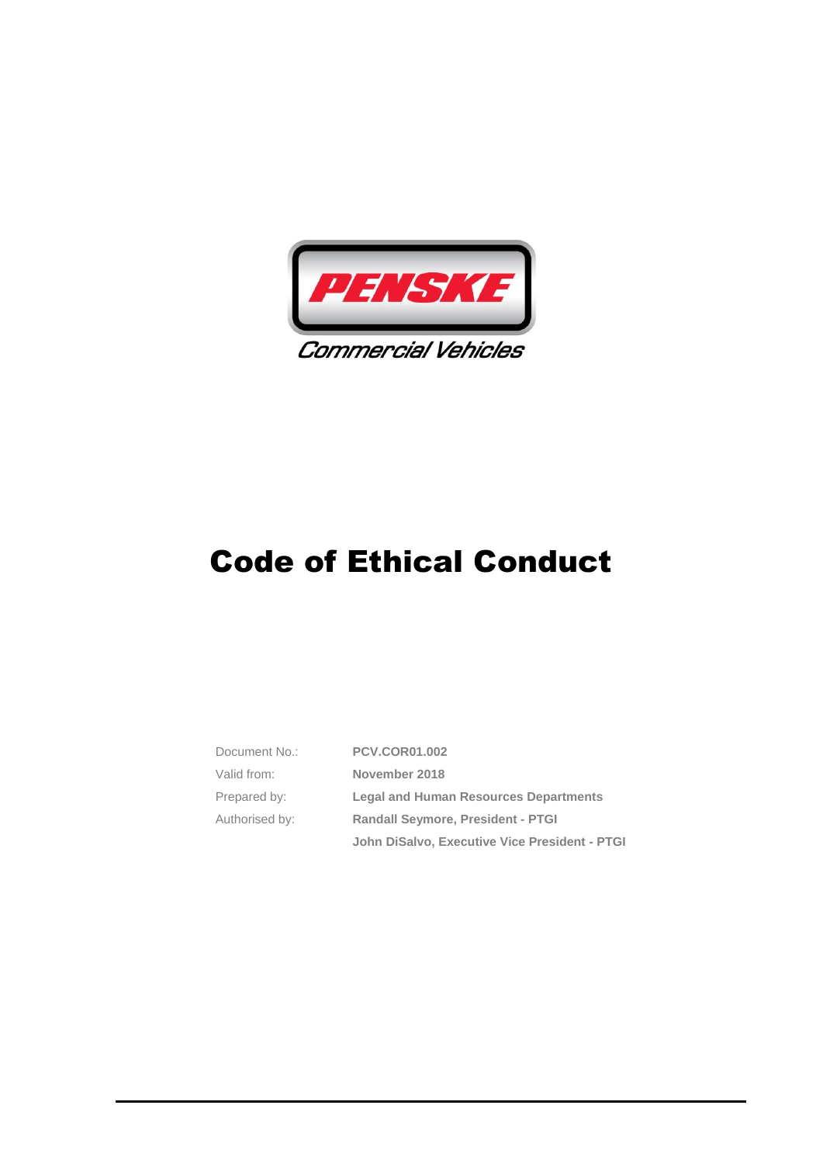

| Document No.:  | <b>PCV.COR01.002</b>                          |  |
|----------------|-----------------------------------------------|--|
| Valid from:    | November 2018                                 |  |
| Prepared by:   | <b>Legal and Human Resources Departments</b>  |  |
| Authorised by: | <b>Randall Seymore, President - PTGI</b>      |  |
|                | John DiSalvo, Executive Vice President - PTGI |  |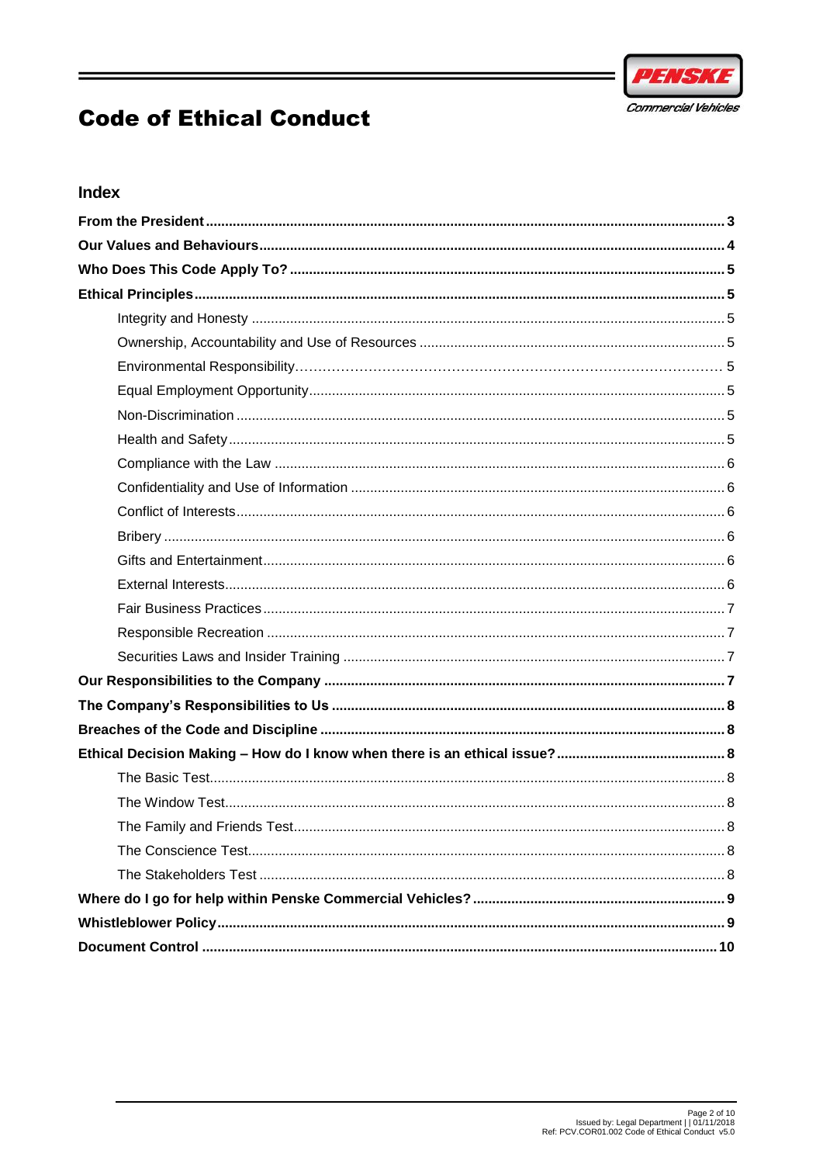

## Index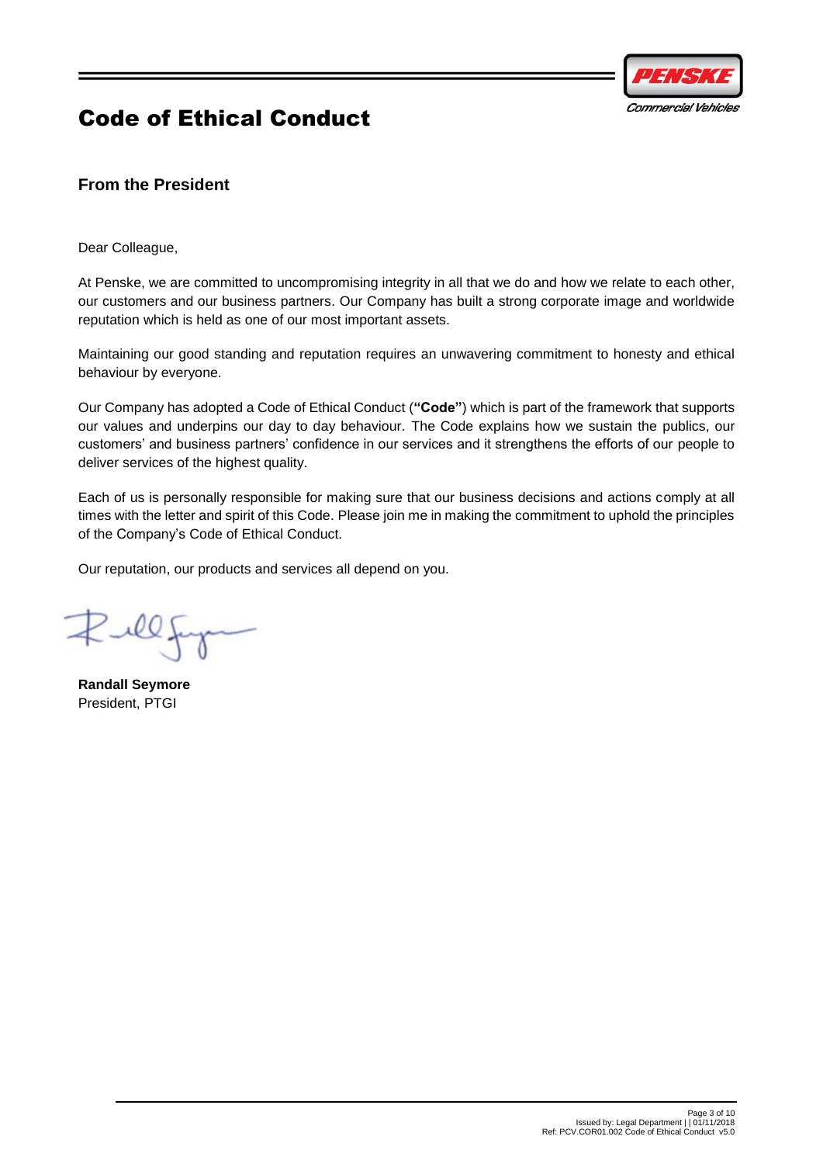

### <span id="page-2-0"></span>**From the President**

Dear Colleague,

At Penske, we are committed to uncompromising integrity in all that we do and how we relate to each other, our customers and our business partners. Our Company has built a strong corporate image and worldwide reputation which is held as one of our most important assets.

Maintaining our good standing and reputation requires an unwavering commitment to honesty and ethical behaviour by everyone.

Our Company has adopted a Code of Ethical Conduct (**"Code"**) which is part of the framework that supports our values and underpins our day to day behaviour. The Code explains how we sustain the publics, our customers' and business partners' confidence in our services and it strengthens the efforts of our people to deliver services of the highest quality.

Each of us is personally responsible for making sure that our business decisions and actions comply at all times with the letter and spirit of this Code. Please join me in making the commitment to uphold the principles of the Company's Code of Ethical Conduct.

Our reputation, our products and services all depend on you.

Zillf

**Randall Seymore** President, PTGI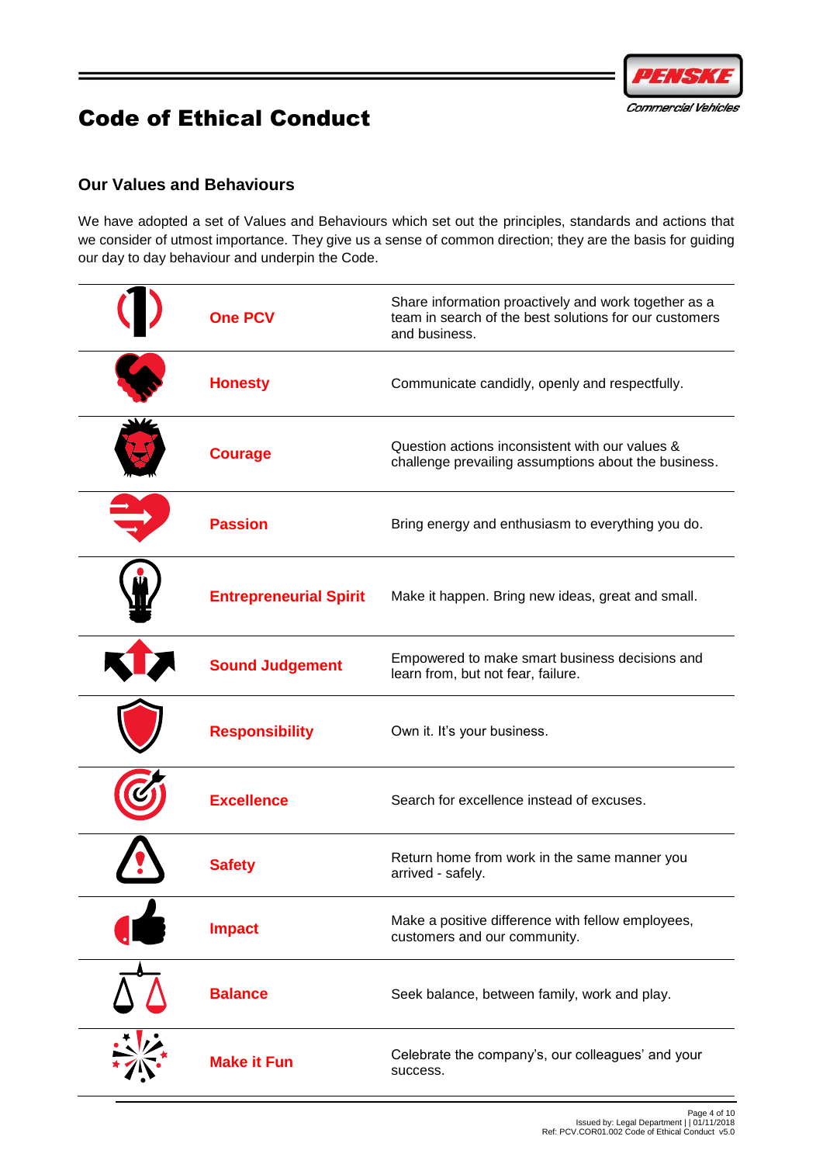

# <span id="page-3-0"></span>**Our Values and Behaviours**

We have adopted a set of Values and Behaviours which set out the principles, standards and actions that we consider of utmost importance. They give us a sense of common direction; they are the basis for guiding our day to day behaviour and underpin the Code.

| <b>One PCV</b>                | Share information proactively and work together as a<br>team in search of the best solutions for our customers<br>and business. |
|-------------------------------|---------------------------------------------------------------------------------------------------------------------------------|
| <b>Honesty</b>                | Communicate candidly, openly and respectfully.                                                                                  |
| <b>Courage</b>                | Question actions inconsistent with our values &<br>challenge prevailing assumptions about the business.                         |
| <b>Passion</b>                | Bring energy and enthusiasm to everything you do.                                                                               |
| <b>Entrepreneurial Spirit</b> | Make it happen. Bring new ideas, great and small.                                                                               |
| <b>Sound Judgement</b>        | Empowered to make smart business decisions and<br>learn from, but not fear, failure.                                            |
| <b>Responsibility</b>         | Own it. It's your business.                                                                                                     |
| <b>Excellence</b>             | Search for excellence instead of excuses.                                                                                       |
| <b>Safety</b>                 | Return home from work in the same manner you<br>arrived - safely.                                                               |
| <b>Impact</b>                 | Make a positive difference with fellow employees,<br>customers and our community.                                               |
| <b>Balance</b>                | Seek balance, between family, work and play.                                                                                    |
| <b>Make it Fun</b>            | Celebrate the company's, our colleagues' and your<br>success.                                                                   |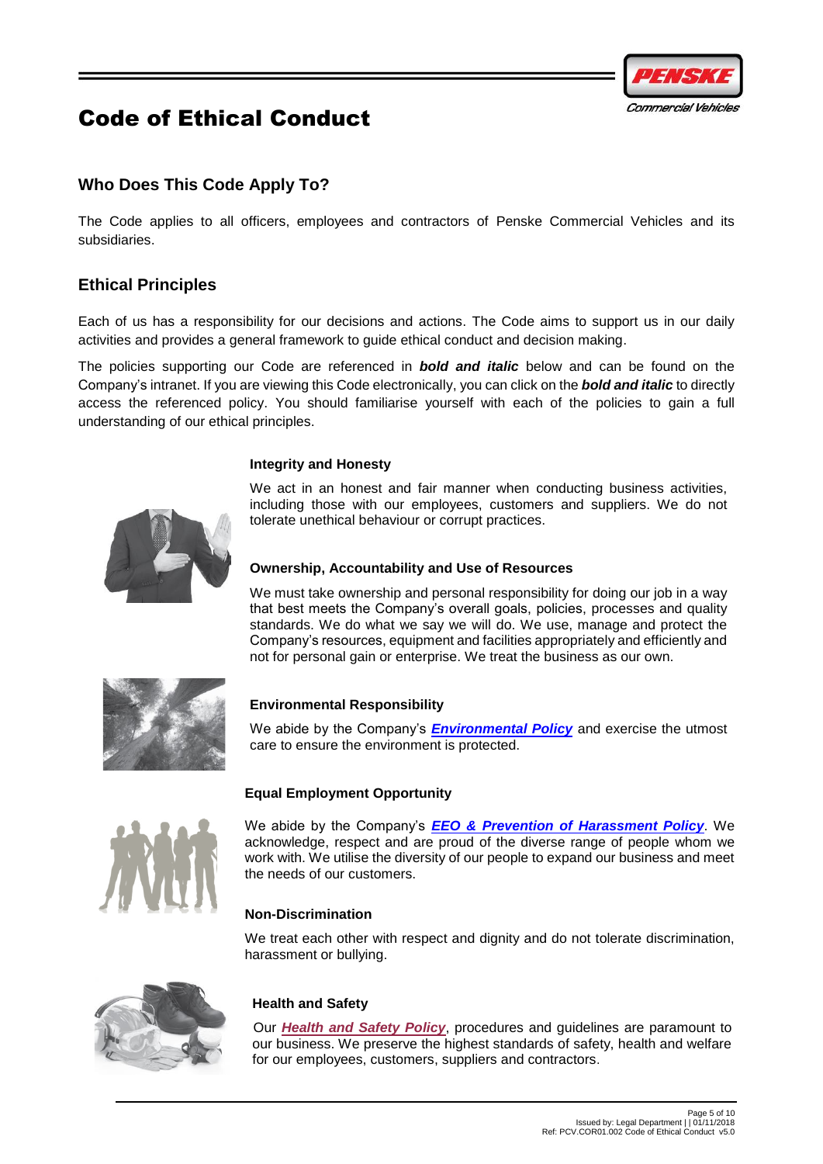

# <span id="page-4-0"></span>**Who Does This Code Apply To?**

The Code applies to all officers, employees and contractors of Penske Commercial Vehicles and its subsidiaries.

### <span id="page-4-1"></span>**Ethical Principles**

Each of us has a responsibility for our decisions and actions. The Code aims to support us in our daily activities and provides a general framework to guide ethical conduct and decision making.

The policies supporting our Code are referenced in *bold and italic* below and can be found on the Company's intranet. If you are viewing this Code electronically, you can click on the *bold and italic* to directly access the referenced policy. You should familiarise yourself with each of the policies to gain a full understanding of our ethical principles.

### <span id="page-4-2"></span>**Integrity and Honesty**

We act in an honest and fair manner when conducting business activities, including those with our employees, customers and suppliers. We do not tolerate unethical behaviour or corrupt practices.



### <span id="page-4-3"></span>**Ownership, Accountability and Use of Resources**

We must take ownership and personal responsibility for doing our job in a way that best meets the Company's overall goals, policies, processes and quality standards. We do what we say we will do. We use, manage and protect the Company's resources, equipment and facilities appropriately and efficiently and not for personal gain or enterprise. We treat the business as our own.



### **Environmental Responsibility**

We abide by the Company's *[Environmental Policy](http://thepodium.penske.com.au/resources/Business%20Documentation/ALL/G.HSE01.002%20Environmental%20Policy%20Statement.pdf)* and exercise the utmost care to ensure the environment is protected.

### **Equal Employment Opportunity**

<span id="page-4-5"></span><span id="page-4-4"></span>

We abide by the Company's *[EEO & Prevention of Harassment Policy](http://thepodium.penske.com.au/resources/_layouts/15/WopiFrame.aspx?sourcedoc=%7bC3190125-D719-45BF-80B8-1F0733CE6A70%7d&file=G.HR01.002%20Group%20EEO%20and%20Prevention%20of%20Harassment%20Policy.docx&action=default)*. We acknowledge, respect and are proud of the diverse range of people whom we work with. We utilise the diversity of our people to expand our business and meet the needs of our customers.

### **Non-Discrimination**

We treat each other with respect and dignity and do not tolerate discrimination, harassment or bullying.



### <span id="page-4-6"></span>**Health and Safety**

Our *[Health and Safety Policy](http://thepodium.penske.com.au/resources/Business%20Documentation/ALL/G.HSE01.001%20Health%20and%20Safety%20Policy%20Statement.pdf)*, procedures and guidelines are paramount to our business. We preserve the highest standards of safety, health and welfare for our employees, customers, suppliers and contractors.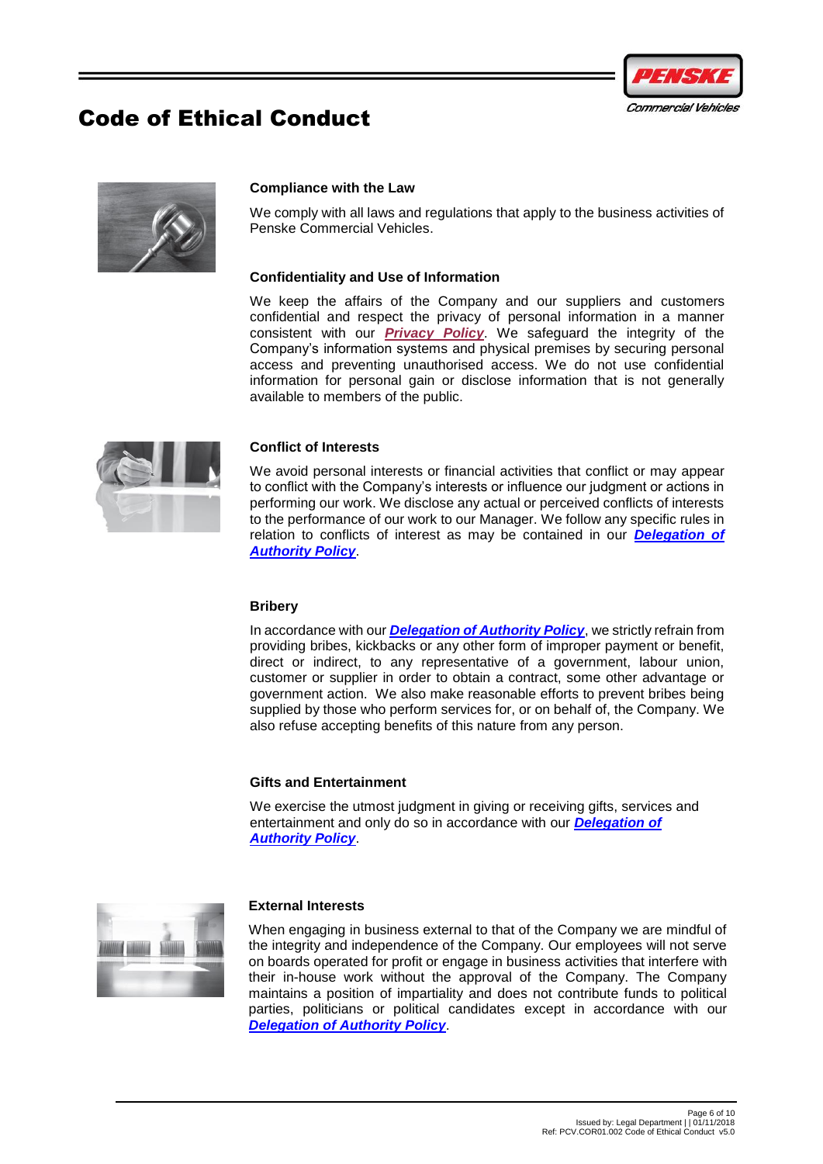



### <span id="page-5-0"></span>**Compliance with the Law**

We comply with all laws and regulations that apply to the business activities of Penske Commercial Vehicles.

### <span id="page-5-1"></span>**Confidentiality and Use of Information**

We keep the affairs of the Company and our suppliers and customers confidential and respect the privacy of personal information in a manner consistent with our *[Privacy Policy](http://thepodium.penske.com.au/resources/Business%20Documentation/ALL/G.COR01.100%20Privacy%20Policy.docx?Web=1)*. We safeguard the integrity of the Company's information systems and physical premises by securing personal access and preventing unauthorised access. We do not use confidential information for personal gain or disclose information that is not generally available to members of the public.



#### <span id="page-5-2"></span>**Conflict of Interests**

We avoid personal interests or financial activities that conflict or may appear to conflict with the Company's interests or influence our judgment or actions in performing our work. We disclose any actual or perceived conflicts of interests to the performance of our work to our Manager. We follow any specific rules in relation to conflicts of interest as may be contained in our *[Delegation of](http://thepodium.penske.com.au/resources/Business%20Documentation/ALL/G.COR01.008%20Delegation%20of%20Authority%20Policy.pdf)  [Authority Policy](http://thepodium.penske.com.au/resources/Business%20Documentation/ALL/G.COR01.008%20Delegation%20of%20Authority%20Policy.pdf)*.

#### <span id="page-5-3"></span>**Bribery**

In accordance with our *[Delegation of Authority Policy](http://thepodium.penske.com.au/resources/Business%20Documentation/ALL/G.COR01.008%20Delegation%20of%20Authority%20Policy.pdf)*, we strictly refrain from providing bribes, kickbacks or any other form of improper payment or benefit, direct or indirect, to any representative of a government, labour union, customer or supplier in order to obtain a contract, some other advantage or government action. We also make reasonable efforts to prevent bribes being supplied by those who perform services for, or on behalf of, the Company. We also refuse accepting benefits of this nature from any person.

#### <span id="page-5-4"></span>**Gifts and Entertainment**

We exercise the utmost judgment in giving or receiving gifts, services and entertainment and only do so in accordance with our *[Delegation of](http://thepodium.penske.com.au/resources/Business%20Documentation/ALL/G.COR01.008%20Delegation%20of%20Authority%20Policy.pdf)  [Authority Policy](http://thepodium.penske.com.au/resources/Business%20Documentation/ALL/G.COR01.008%20Delegation%20of%20Authority%20Policy.pdf)*.



#### <span id="page-5-5"></span>**External Interests**

When engaging in business external to that of the Company we are mindful of the integrity and independence of the Company. Our employees will not serve on boards operated for profit or engage in business activities that interfere with their in-house work without the approval of the Company. The Company maintains a position of impartiality and does not contribute funds to political parties, politicians or political candidates except in accordance with our *[Delegation of Authority Policy](http://thepodium.penske.com.au/resources/Business%20Documentation/ALL/G.COR01.008%20Delegation%20of%20Authority%20Policy.pdf)*.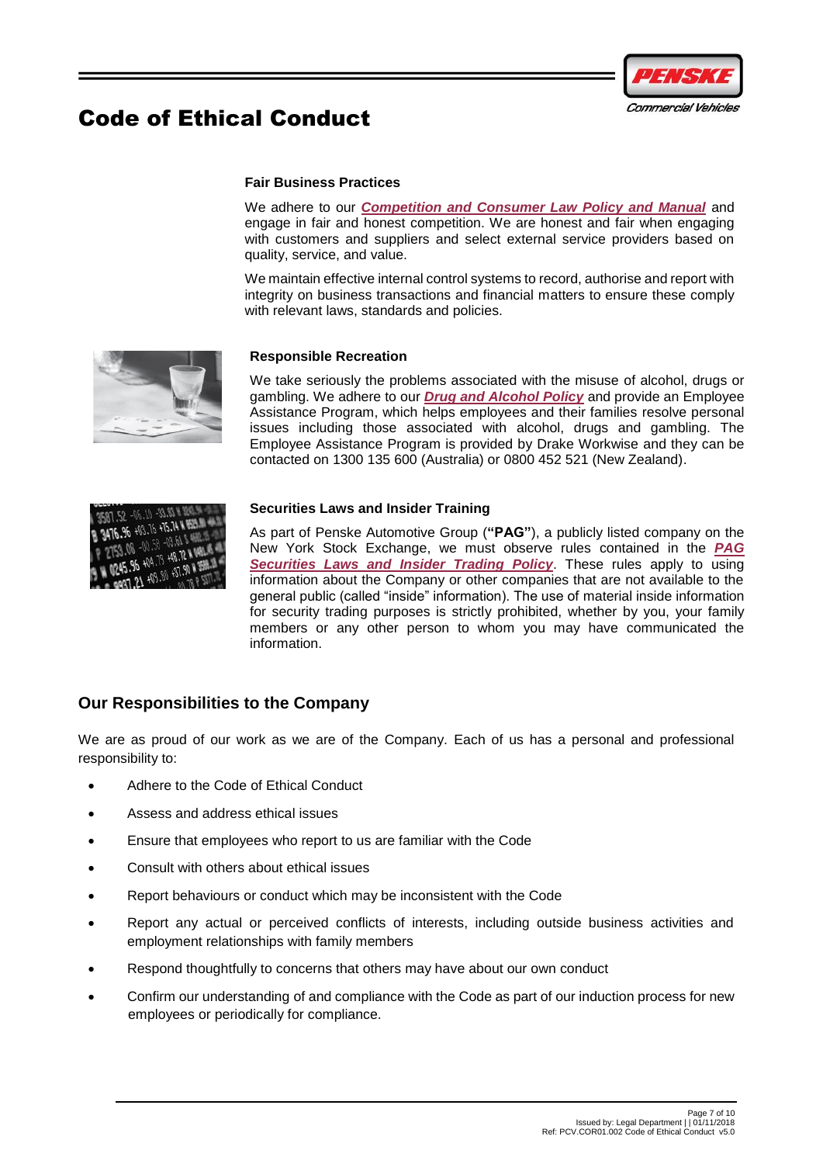

### **Fair Business Practices**

We adhere to our *[Competition and Consumer Law Policy and Manual](http://thepodium.penske.com.au/resources/Business%20Documentation/ALL/G.COR01.020%20Competition%20and%20Consumer%20Law%20Policy%20and%20Manual%20-%20Australia.docx?Web=1)* and engage in fair and honest competition. We are honest and fair when engaging with customers and suppliers and select external service providers based on quality, service, and value.

We maintain effective internal control systems to record, authorise and report with integrity on business transactions and financial matters to ensure these comply with relevant laws, standards and policies.

<span id="page-6-0"></span>

### <span id="page-6-1"></span>**Responsible Recreation**

We take seriously the problems associated with the misuse of alcohol, drugs or gambling. We adhere to our *Drug [and Alcohol Policy](http://thepodium.penske.com.au/resources/Business%20Documentation/PCV/PCV.COR01.200%20Drug%20and%20Alcohol%20Policy.docx?Web=1)* and provide an Employee Assistance Program, which helps employees and their families resolve personal issues including those associated with alcohol, drugs and gambling. The Employee Assistance Program is provided by Drake Workwise and they can be contacted on 1300 135 600 (Australia) or 0800 452 521 (New Zealand).



### <span id="page-6-2"></span>**Securities Laws and Insider Training**

As part of Penske Automotive Group (**"PAG"**), a publicly listed company on the New York Stock Exchange, we must observe rules contained in the *[PAG](http://thepodium.penske.com.au/resources/_layouts/15/WopiFrame.aspx?sourcedoc=%7bCBAE0005-7503-40F4-A052-CDF0F6A5DB92%7d&file=G.COR01.015%20PAG%20Securities%20Laws%20and%20Insider%20Trading%20Policy.docx&action=default)  Securities Laws and [Insider Trading Policy](http://thepodium.penske.com.au/resources/_layouts/15/WopiFrame.aspx?sourcedoc=%7bCBAE0005-7503-40F4-A052-CDF0F6A5DB92%7d&file=G.COR01.015%20PAG%20Securities%20Laws%20and%20Insider%20Trading%20Policy.docx&action=default)*. These rules apply to using information about the Company or other companies that are not available to the general public (called "inside" information). The use of material inside information for security trading purposes is strictly prohibited, whether by you, your family members or any other person to whom you may have communicated the information.

## <span id="page-6-3"></span>**Our Responsibilities to the Company**

We are as proud of our work as we are of the Company. Each of us has a personal and professional responsibility to:

- Adhere to the Code of Ethical Conduct
- Assess and address ethical issues
- Ensure that employees who report to us are familiar with the Code
- Consult with others about ethical issues
- Report behaviours or conduct which may be inconsistent with the Code
- Report any actual or perceived conflicts of interests, including outside business activities and employment relationships with family members
- Respond thoughtfully to concerns that others may have about our own conduct
- Confirm our understanding of and compliance with the Code as part of our induction process for new employees or periodically for compliance.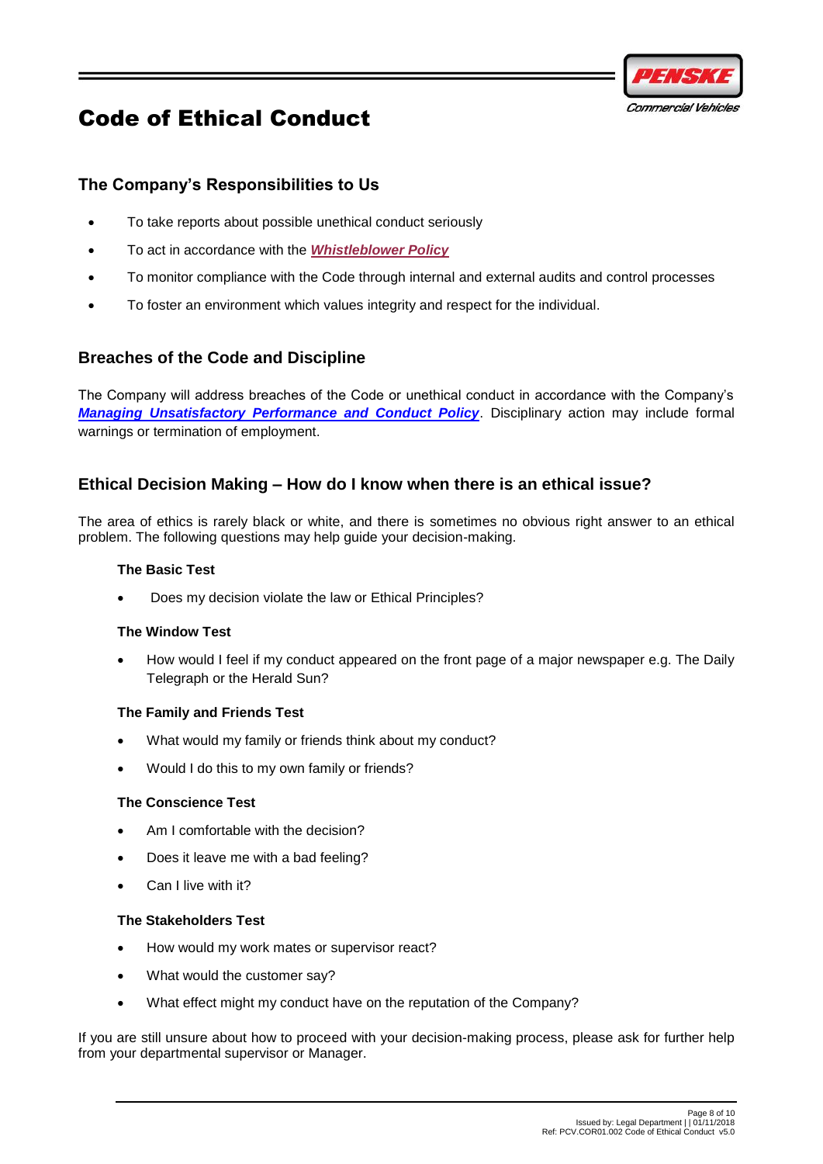

### <span id="page-7-0"></span>**The Company's Responsibilities to Us**

- To take reports about possible unethical conduct seriously
- To act in accordance with the *[Whistleblower Policy](http://thepodium.penske.com.au/resources/Business%20Documentation/PCV/PCV.COR01.010%20Whistleblower%20Policy.docx?Web=1)*
- To monitor compliance with the Code through internal and external audits and control processes
- To foster an environment which values integrity and respect for the individual.

### <span id="page-7-1"></span>**Breaches of the Code and Discipline**

The Company will address breaches of the Code or unethical conduct in accordance with the Company's *[Managing Unsatisfactory Performance and Conduct Policy](http://thepodium.penske.com.au/resources/_layouts/15/WopiFrame.aspx?sourcedoc=%7bE74C3DAE-F2BE-4671-BFCF-42AD1FC7E19D%7d&file=PCV.HR01.008%20Group%20Managing%20Unsatisfactory%20Performance%20Conduct%20Policy.docx&action=default)*. Disciplinary action may include formal warnings or termination of employment.

### <span id="page-7-2"></span>**Ethical Decision Making – How do I know when there is an ethical issue?**

<span id="page-7-3"></span>The area of ethics is rarely black or white, and there is sometimes no obvious right answer to an ethical problem. The following questions may help guide your decision-making.

### **The Basic Test**

Does my decision violate the law or Ethical Principles?

### <span id="page-7-4"></span>**The Window Test**

How would I feel if my conduct appeared on the front page of a major newspaper e.g. The Daily Telegraph or the Herald Sun?

### <span id="page-7-5"></span>**The Family and Friends Test**

- What would my family or friends think about my conduct?
- Would I do this to my own family or friends?

#### <span id="page-7-6"></span>**The Conscience Test**

- Am I comfortable with the decision?
- Does it leave me with a bad feeling?
- Can I live with it?

#### <span id="page-7-7"></span>**The Stakeholders Test**

- How would my work mates or supervisor react?
- What would the customer say?
- What effect might my conduct have on the reputation of the Company?

If you are still unsure about how to proceed with your decision-making process, please ask for further help from your departmental supervisor or Manager.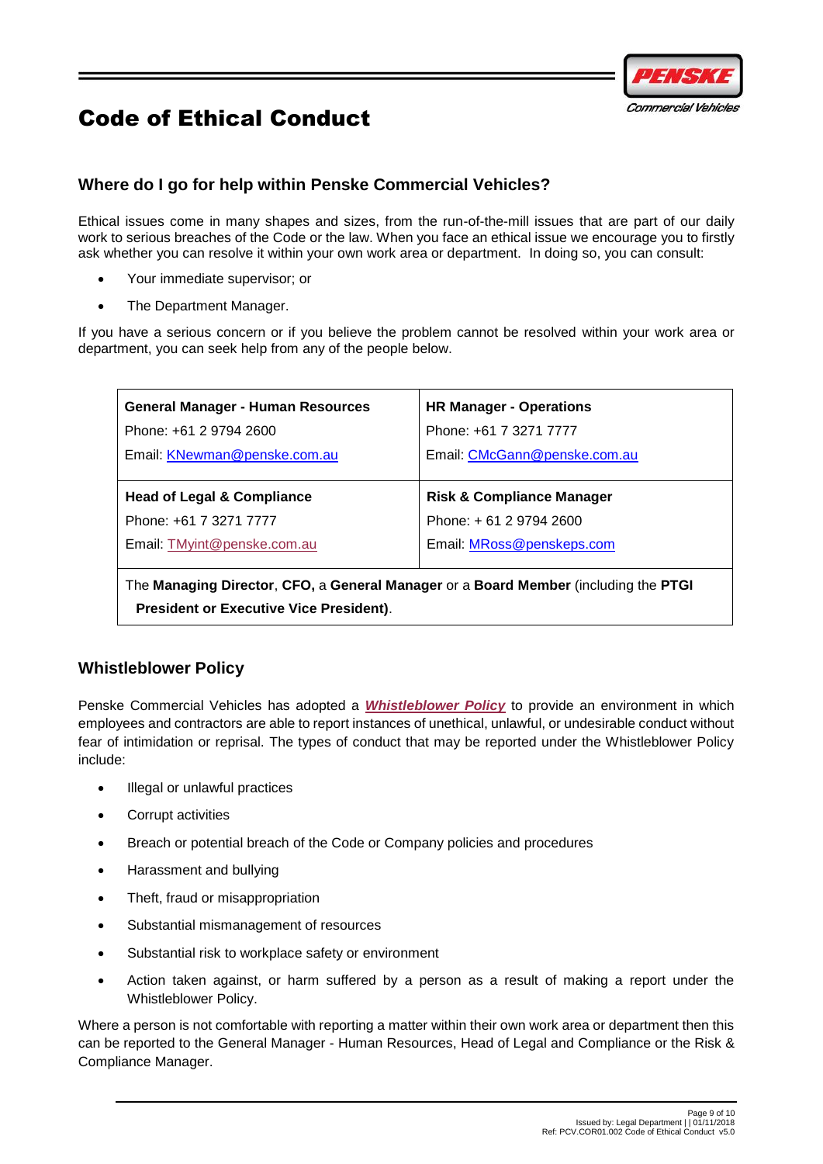

# <span id="page-8-0"></span>**Where do I go for help within Penske Commercial Vehicles?**

Ethical issues come in many shapes and sizes, from the run-of-the-mill issues that are part of our daily work to serious breaches of the Code or the law. When you face an ethical issue we encourage you to firstly ask whether you can resolve it within your own work area or department. In doing so, you can consult:

- Your immediate supervisor; or
- The Department Manager.

If you have a serious concern or if you believe the problem cannot be resolved within your work area or department, you can seek help from any of the people below.

| <b>General Manager - Human Resources</b>                                          | <b>HR Manager - Operations</b>       |  |  |
|-----------------------------------------------------------------------------------|--------------------------------------|--|--|
| Phone: +61 2 9794 2600                                                            | Phone: +61 7 3271 7777               |  |  |
| Email: KNewman@penske.com.au                                                      | Email: CMcGann@penske.com.au         |  |  |
|                                                                                   |                                      |  |  |
| <b>Head of Legal &amp; Compliance</b>                                             | <b>Risk &amp; Compliance Manager</b> |  |  |
| Phone: +61 7 3271 7777                                                            | Phone: +61 2 9794 2600               |  |  |
| Email: TMyint@penske.com.au                                                       | Email: MRoss@penskeps.com            |  |  |
|                                                                                   |                                      |  |  |
| The Managhua Bloeden, OEO is Osmand Manages and Deand Mandeso (beliefles the BTOI |                                      |  |  |

The **Managing Director**, **CFO,** a **General Manager** or a **Board Member** (including the **PTGI President or Executive Vice President)**.

## <span id="page-8-1"></span>**Whistleblower Policy**

Penske Commercial Vehicles has adopted a *[Whistleblower Policy](http://thepodium.penske.com.au/resources/Business%20Documentation/PCV/PCV.COR01.010%20Whistleblower%20Policy.docx?Web=1)* to provide an environment in which employees and contractors are able to report instances of unethical, unlawful, or undesirable conduct without fear of intimidation or reprisal. The types of conduct that may be reported under the Whistleblower Policy include:

- Illegal or unlawful practices
- Corrupt activities
- Breach or potential breach of the Code or Company policies and procedures
- Harassment and bullying
- Theft, fraud or misappropriation
- Substantial mismanagement of resources
- Substantial risk to workplace safety or environment
- Action taken against, or harm suffered by a person as a result of making a report under the Whistleblower Policy.

Where a person is not comfortable with reporting a matter within their own work area or department then this can be reported to the General Manager - Human Resources, Head of Legal and Compliance or the Risk & Compliance Manager.